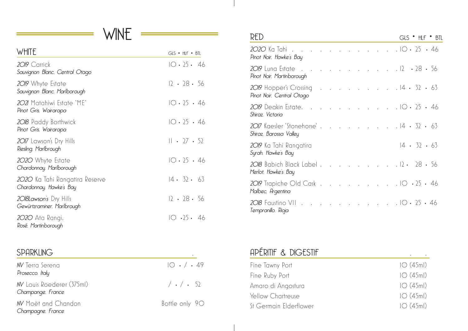# WINE

| WHITE                                                     | $GLS$ $\bullet$ $HLF$ $\bullet$ $BTL$ |
|-----------------------------------------------------------|---------------------------------------|
| 2019 Carrick<br>Sauvignon Blanc, Central Otago            | $10 \cdot 25 \cdot 46$                |
| 2019 Whyte Estate<br>Sauvignon Blanc, Marlborough         | $12 \cdot 28 \cdot 56$                |
| 2021 Matahiwi Estate 'ME'<br>Pinot Gris, Wairarapa        | IO.25.46                              |
| 2018 Paddy Borthwick<br>Pinot Gris, Wairarapa             | 10.25.46                              |
| 2017 Lawson's Dry Hills<br>Riesling, Marlbrough           | $   \cdot 27 \cdot 52$                |
| 2020 Whyte Estate<br>Chardonnay, Marlborough              | IO.25.46                              |
| 2020 Ka Tahi Rangatira Reserve<br>Chardonnay. Hawke's Bay | $14 \cdot 32 \cdot 63$                |
| 2018Lawson's Dry Hills<br>Gewürtzraminer, Marlbrough      | $12 \cdot 28 \cdot 56$                |
| 2020 Ata Rangi,<br>Rosé, Martinborough                    | IO .25 . 46                           |

| <b>SPARKLING</b>                              |                       |
|-----------------------------------------------|-----------------------|
| W Terra Serena<br>Prosecco, Italy             | $IO \cdot / \cdot 49$ |
| W Louis Roederer (375ml)<br>Champange, France | $/ \cdot / \cdot 52$  |
| W Moët and Chandon<br>Champagne, France       | Bottle only 90        |

| RED                                                                  |  |  |  |  | $GLS$ $^{\bullet}$ $HLF$ $^{\bullet}$ $BL$ |
|----------------------------------------------------------------------|--|--|--|--|--------------------------------------------|
| 2020 Ka Tahi 10 · 25 · 46<br>Pinot Noir, Hawke's Bay                 |  |  |  |  |                                            |
| 2019 Luna Estate 12 . 28 . 56<br>Pinot Noir, Martinborough           |  |  |  |  |                                            |
| 2019 Hopper's Crossing 14 . 32 . 63<br>Pinot Noir, Central Otago     |  |  |  |  |                                            |
| 2019 Deakin Estate. 10 · 25 · 46<br>Shiraz, Victoria                 |  |  |  |  |                                            |
| 2017 Kaesler 'Stonehorse'.<br>Shiraz, Barossa Valley                 |  |  |  |  | $14 \cdot 32 \cdot 63$                     |
| 2019 Ka Tahi Rangatira<br>Syrah, Hawke's Bay                         |  |  |  |  | $14 \cdot 32 \cdot 63$                     |
| $2018$ Babich Black Label 12 . 28 . 56<br>Merlot, Hawke's Bay        |  |  |  |  |                                            |
| 2019 Trapiche Old Cask 10 $\cdot$ 25 $\cdot$ 46<br>Malbec, Argentina |  |  |  |  |                                            |
| 2018 Faustino VII 10 . 25 . 46<br>Tempranillo, Rioja                 |  |  |  |  |                                            |

## APÉRITIF & DIGESTIF

| Fine Tawny Port        | IO(45ml) |
|------------------------|----------|
| Fine Ruby Port         | IO(45ml) |
| Amaro di Angostura     | IO(45ml) |
| Yellow Chartreuse      | IO(45ml) |
| St Germain Elderflower | IO(45ml) |

.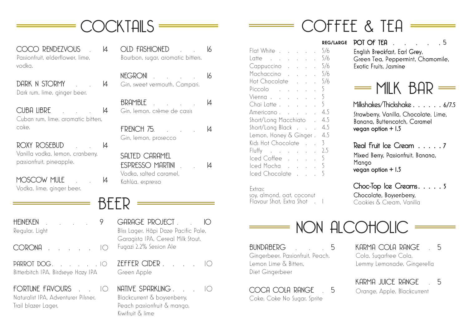

COCO RENDEZVOUS 14 Passionfruit, elderflower, lime, vodka.

DARK N STORMY 14 Dark rum, lime, ginger beer.

CUBA LIBRE 14 Cuban rum, lime, aromatic bitters, coke.

ROXY ROSEBUD 14 Vanilla vodka, lemon, cranberry, passionfruit, pineapple.

MOSCOW MULE 14 Vodka, lime, ginger beer.

OLD FASHIONED 16 Bourbon, sugar, aromatic bitters.

NFGRONI 16 Gin, sweet vermouth, Campari.

BRAMBLE 14 Gin, lemon, crème de cassis

FRENCH 75 14 Gin, lemon, prosecco

SALTED CARAMEL ESPRESSO MARTINI . . 14 Vodka, salted caramel, Kahlúa, espresso

BEER

HEINEKEN 9 Regular, Light

CORONA 10

PARROT DOG 10 Bitterbitch IPA, Birdseye Hazy IPA

FORTUNE FAVOURS  $\bigcap$ Naturalist IPA, Adventurer Pilsner, Trail blazer Lager,

GARAGE PROJECT IO Bliss Lager, Hāpi Daze Pacific Pale, Garagista IPA, Cereal Milk Stout, Fugazi 2.2% Session Ale

 $7$ FFFER CIDER  $\qquad \qquad \Box$ Green Apple

 $NATIVF$  SPARKLING  $10$ Blackcurrent & boysenberry, Peach passionfruit & mango, Kiwifruit & lime

|                                       |  |  | <b>REG/LA</b> |
|---------------------------------------|--|--|---------------|
| Flat White 5/6                        |  |  |               |
| Latte 5/6                             |  |  |               |
| Cappuccino 5/6                        |  |  |               |
| Mochaccino 5/6                        |  |  |               |
| Hot Chocolate 5/6                     |  |  |               |
| Piccolo                               |  |  | 5.            |
| $Vienna$ . $5$                        |  |  |               |
| Chailatte $\sqrt{5}$                  |  |  |               |
| Americano 4.5                         |  |  |               |
| Short/Long Macchiato . 4.5            |  |  |               |
| Short/Long Black 4.5                  |  |  |               |
| Lemon, Honey & Ginger. 4.5            |  |  |               |
| Kids Hot Chocolate .                  |  |  | . 3           |
| Fluffy $\ldots$ $\ldots$ $\ldots$ 2.5 |  |  |               |
| lced Coffee                           |  |  | 5             |
| Iced Mocha 5                          |  |  |               |
| Iced Chocolate                        |  |  | 5             |
|                                       |  |  |               |

Extras:

soy, almond, oat, coconut Flavour Shot, Extra Shot 1 **REG/LARGE**  POT OF TEA . . . . . 5

COFFEE & TEA

English Breakfast, Earl Grey, Green Tea, Peppermint, Chamomile, Exotic Fruits, Jasmine



Milkshakes/Thickshake . . . . . . 6/7.5 Strawberry, Vanilla, Chocolate, Lime, Banana, Butterscotch, Caramel vegan option  $+1.5$ 

Real Fruit Ice Cream . . . . . 7 Mixed Berry, Passionfruit, Banana, Mango vegan option + 1.5

Choc-Top Ice Creams. . . . . 5 Chocolate, Boysenberry, Cookies & Cream, Vanilla

NON ALCOHOLIC

BUNDABERG 5 Gingerbeer. Passionfruit, Peach, Lemon Lime & Bitters, Diet Gingerbeer

COCA COLA RANGE 5 Coke, Coke No Sugar, Sprite

KARMA COLA RANGE 5 Cola, Sugarfree Cola, Lemmy Lemonade, Gingerella

KARMA JUICE RANGE 5 Orange, Apple, Blackcurrent